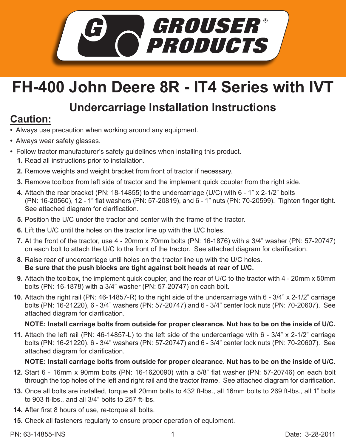

# **FH-400 John Deere 8R - IT4 Series with IVT**

## **Undercarriage Installation Instructions**

## **Caution:**

- Always use precaution when working around any equipment.
- Always wear safety glasses.
- Follow tractor manufacturer's safety guidelines when installing this product.
	- **1.** Read all instructions prior to installation.
	- **2.** Remove weights and weight bracket from front of tractor if necessary.
	- **3.** Remove toolbox from left side of tractor and the implement quick coupler from the right side.
	- Attach the rear bracket (PN: 18-14855) to the undercarriage (U/C) with 6 1" x 2-1/2" bolts **4.** (PN: 16-20560), 12 - 1" flat washers (PN: 57-20819), and 6 - 1" nuts (PN: 70-20599). Tighten finger tight. See attached diagram for clarification.
	- **5.** Position the U/C under the tractor and center with the frame of the tractor.
	- **6.** Lift the U/C until the holes on the tractor line up with the U/C holes.
	- At the front of the tractor, use 4 20mm x 70mm bolts (PN: 16-1876) with a 3/4" washer (PN: 57-20747) **7.** on each bolt to attach the U/C to the front of the tractor. See attached diagram for clarification.
	- Raise rear of undercarriage until holes on the tractor line up with the U/C holes. **8. Be sure that the push blocks are tight against bolt heads at rear of U/C.**
	- Attach the toolbox, the implement quick coupler, and the rear of U/C to the tractor with 4 20mm x 50mm **9.** bolts (PN: 16-1878) with a 3/4" washer (PN: 57-20747) on each bolt.
	- Attach the right rail (PN: 46-14857-R) to the right side of the undercarriage with 6 3/4" x 2-1/2" carriage **10.** bolts (PN: 16-21220), 6 - 3/4" washers (PN: 57-20747) and 6 - 3/4" center lock nuts (PN: 70-20607). See attached diagram for clarification.

### **NOTE: Install carriage bolts from outside for proper clearance. Nut has to be on the inside of U/C.**

Attach the left rail (PN: 46-14857-L) to the left side of the undercarriage with 6 - 3/4" x 2-1/2" carriage **11.** bolts (PN: 16-21220), 6 - 3/4" washers (PN: 57-20747) and 6 - 3/4" center lock nuts (PN: 70-20607). See attached diagram for clarification.

### **NOTE: Install carriage bolts from outside for proper clearance. Nut has to be on the inside of U/C.**

- **12.** Start 6 16mm x 90mm bolts (PN: 16-1620090) with a 5/8" flat washer (PN: 57-20746) on each bolt through the top holes of the left and right rail and the tractor frame. See attached diagram for clarification.
- **13.** Once all bolts are installed, torque all 20mm bolts to 432 ft-lbs., all 16mm bolts to 269 ft-lbs., all 1" bolts to 903 ft-lbs., and all 3/4" bolts to 257 ft-lbs.
- **14.** After first 8 hours of use, re-torque all bolts.
- **15.** Check all fasteners regularly to ensure proper operation of equipment.